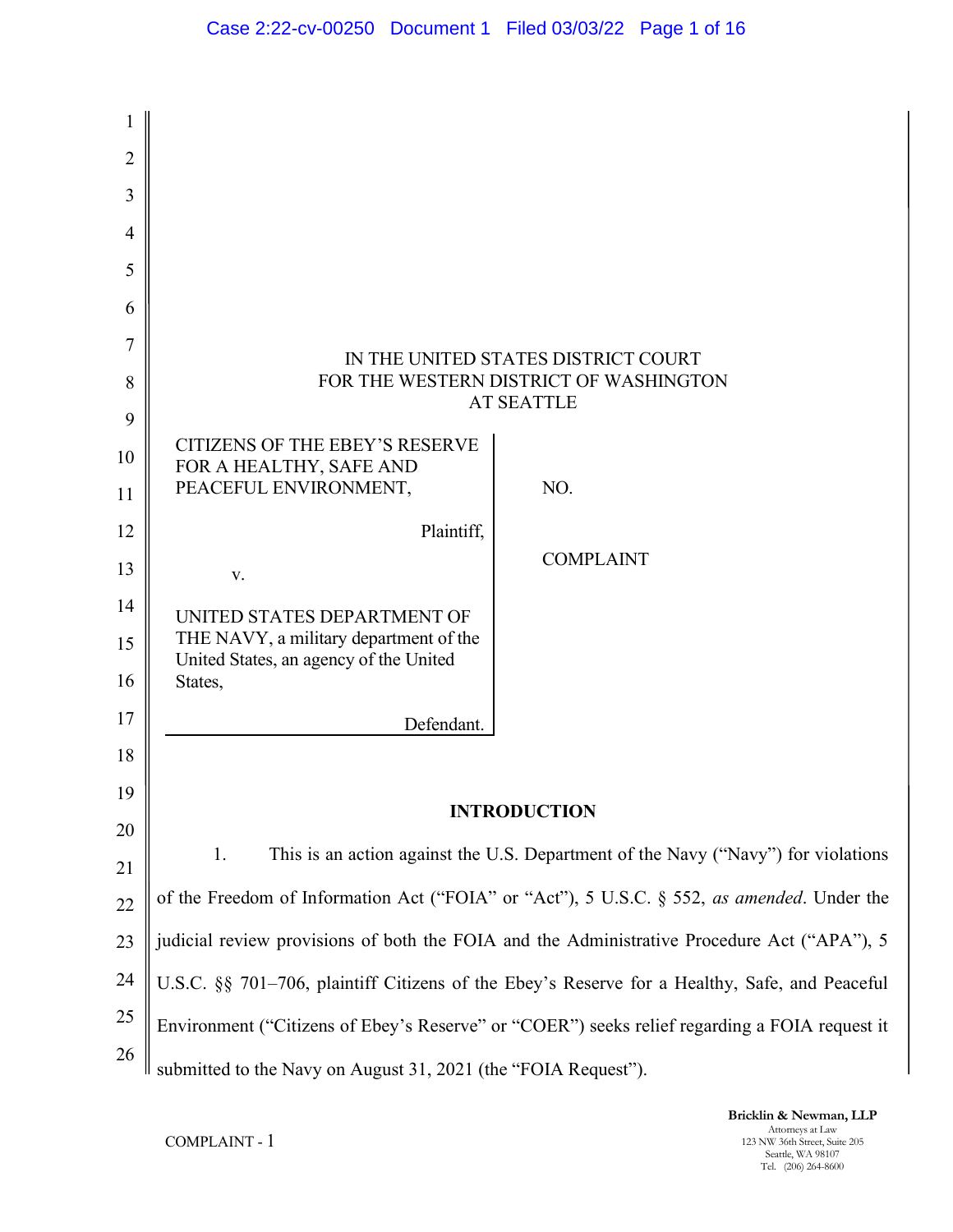| $\overline{2}$ |                                                                                               |                                        |  |
|----------------|-----------------------------------------------------------------------------------------------|----------------------------------------|--|
| 3              |                                                                                               |                                        |  |
| $\overline{4}$ |                                                                                               |                                        |  |
| 5              |                                                                                               |                                        |  |
| 6              |                                                                                               |                                        |  |
| 7              |                                                                                               | IN THE UNITED STATES DISTRICT COURT    |  |
| 8              |                                                                                               | FOR THE WESTERN DISTRICT OF WASHINGTON |  |
| 9              |                                                                                               | <b>AT SEATTLE</b>                      |  |
| 10             | <b>CITIZENS OF THE EBEY'S RESERVE</b><br>FOR A HEALTHY, SAFE AND                              |                                        |  |
| 11             | PEACEFUL ENVIRONMENT,                                                                         | NO.                                    |  |
| 12             | Plaintiff,                                                                                    |                                        |  |
| 13             | V.                                                                                            | <b>COMPLAINT</b>                       |  |
| 14             | UNITED STATES DEPARTMENT OF                                                                   |                                        |  |
| 15             | THE NAVY, a military department of the<br>United States, an agency of the United              |                                        |  |
| 16             | States,                                                                                       |                                        |  |
| 17             | Defendant.                                                                                    |                                        |  |
| 18             |                                                                                               |                                        |  |
| 19             |                                                                                               |                                        |  |
| 20             | <b>INTRODUCTION</b>                                                                           |                                        |  |
| 21             | 1.<br>This is an action against the U.S. Department of the Navy ("Navy") for violations       |                                        |  |
| 22             | of the Freedom of Information Act ("FOIA" or "Act"), 5 U.S.C. § 552, as amended. Under the    |                                        |  |
| 23             | judicial review provisions of both the FOIA and the Administrative Procedure Act ("APA"), 5   |                                        |  |
| 24             | U.S.C. §§ 701-706, plaintiff Citizens of the Ebey's Reserve for a Healthy, Safe, and Peaceful |                                        |  |
| 25             | Environment ("Citizens of Ebey's Reserve" or "COER") seeks relief regarding a FOIA request it |                                        |  |
| 26             | submitted to the Navy on August 31, 2021 (the "FOIA Request").                                |                                        |  |

Bricklin & Newman, LLP Attorneys at Law 123 NW 36th Street, Suite 205 Seattle, WA 98107 Tel. (206) 264-8600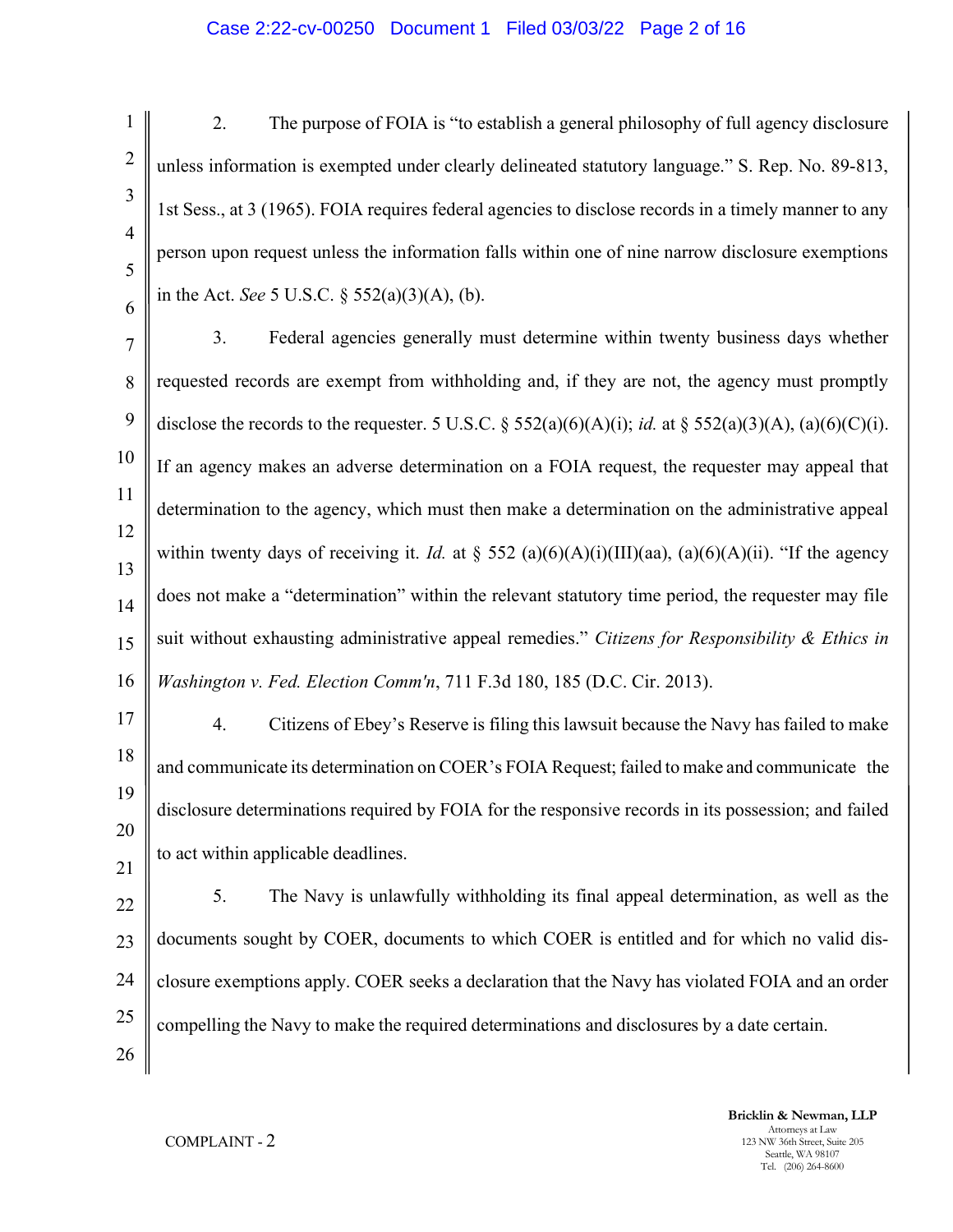### Case 2:22-cv-00250 Document 1 Filed 03/03/22 Page 2 of 16

1 2 3 4 5 6 2. The purpose of FOIA is "to establish a general philosophy of full agency disclosure unless information is exempted under clearly delineated statutory language." S. Rep. No. 89-813, 1st Sess., at 3 (1965). FOIA requires federal agencies to disclose records in a timely manner to any person upon request unless the information falls within one of nine narrow disclosure exemptions in the Act. See 5 U.S.C.  $\S$  552(a)(3)(A), (b).

7 8 9 10 11 12 13 14 15 16 3. Federal agencies generally must determine within twenty business days whether requested records are exempt from withholding and, if they are not, the agency must promptly disclose the records to the requester. 5 U.S.C. § 552(a)(6)(A)(i); *id.* at § 552(a)(3)(A), (a)(6)(C)(i). If an agency makes an adverse determination on a FOIA request, the requester may appeal that determination to the agency, which must then make a determination on the administrative appeal within twenty days of receiving it. Id. at  $\S$  552 (a)(6)(A)(i)(III)(aa), (a)(6)(A)(ii). "If the agency does not make a "determination" within the relevant statutory time period, the requester may file suit without exhausting administrative appeal remedies." Citizens for Responsibility & Ethics in Washington v. Fed. Election Comm'n, 711 F.3d 180, 185 (D.C. Cir. 2013).

17 18 19 20 21 4. Citizens of Ebey's Reserve is filing this lawsuit because the Navy has failed to make and communicate its determination on COER's FOIA Request; failed to make and communicate the disclosure determinations required by FOIA for the responsive records in its possession; and failed to act within applicable deadlines.

22 23 24 25 26 5. The Navy is unlawfully withholding its final appeal determination, as well as the documents sought by COER, documents to which COER is entitled and for which no valid disclosure exemptions apply. COER seeks a declaration that the Navy has violated FOIA and an order compelling the Navy to make the required determinations and disclosures by a date certain.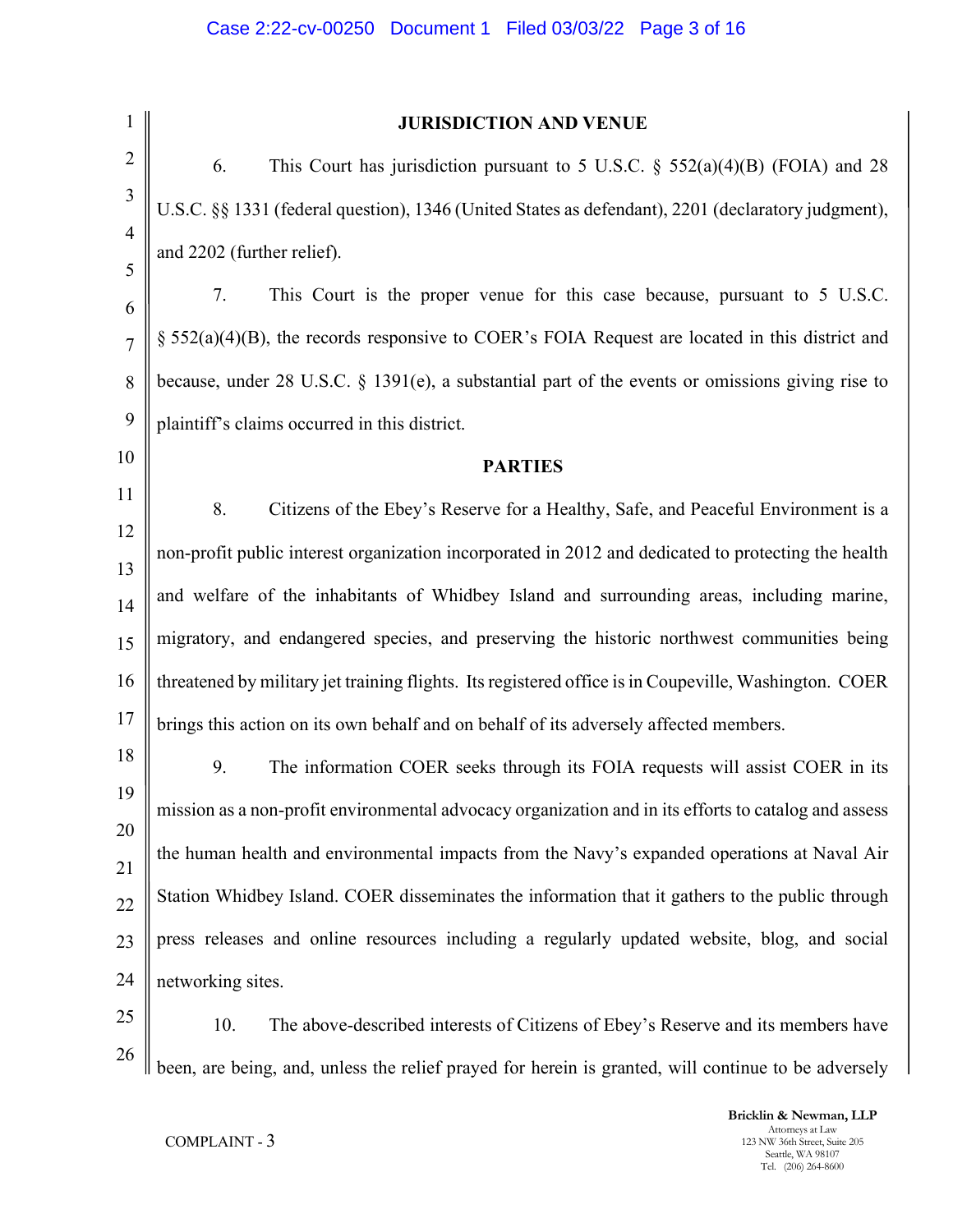|                | <b>JURISDICTION AND VENUE</b>                                                                         |  |
|----------------|-------------------------------------------------------------------------------------------------------|--|
| $\overline{2}$ | 6.<br>This Court has jurisdiction pursuant to 5 U.S.C. $\S$ 552(a)(4)(B) (FOIA) and 28                |  |
| 3              | U.S.C. §§ 1331 (federal question), 1346 (United States as defendant), 2201 (declaratory judgment),    |  |
| $\overline{4}$ | and 2202 (further relief).                                                                            |  |
| 5              | This Court is the proper venue for this case because, pursuant to 5 U.S.C.<br>7.                      |  |
| 6              |                                                                                                       |  |
| $\overline{7}$ | § 552(a)(4)(B), the records responsive to COER's FOIA Request are located in this district and        |  |
| 8              | because, under $28$ U.S.C. § 1391(e), a substantial part of the events or omissions giving rise to    |  |
| 9              | plaintiff's claims occurred in this district.                                                         |  |
| 10             | <b>PARTIES</b>                                                                                        |  |
| 11             | 8.<br>Citizens of the Ebey's Reserve for a Healthy, Safe, and Peaceful Environment is a               |  |
| 12<br>13       | non-profit public interest organization incorporated in 2012 and dedicated to protecting the health   |  |
| 14             | and welfare of the inhabitants of Whidbey Island and surrounding areas, including marine,             |  |
| 15             | migratory, and endangered species, and preserving the historic northwest communities being            |  |
| 16             | threatened by military jet training flights. Its registered office is in Coupeville, Washington. COER |  |
| 17             | brings this action on its own behalf and on behalf of its adversely affected members.                 |  |
| 18             | 9.<br>The information COER seeks through its FOIA requests will assist COER in its                    |  |
| 19             | mission as a non-profit environmental advocacy organization and in its efforts to catalog and assess  |  |
| 20<br>21       | the human health and environmental impacts from the Navy's expanded operations at Naval Air           |  |
| 22             | Station Whidbey Island. COER disseminates the information that it gathers to the public through       |  |
| 23             | press releases and online resources including a regularly updated website, blog, and social           |  |
| 24             | networking sites.                                                                                     |  |
| 25             | 10.<br>The above-described interests of Citizens of Ebey's Reserve and its members have               |  |
| 26             | been, are being, and, unless the relief prayed for herein is granted, will continue to be adversely   |  |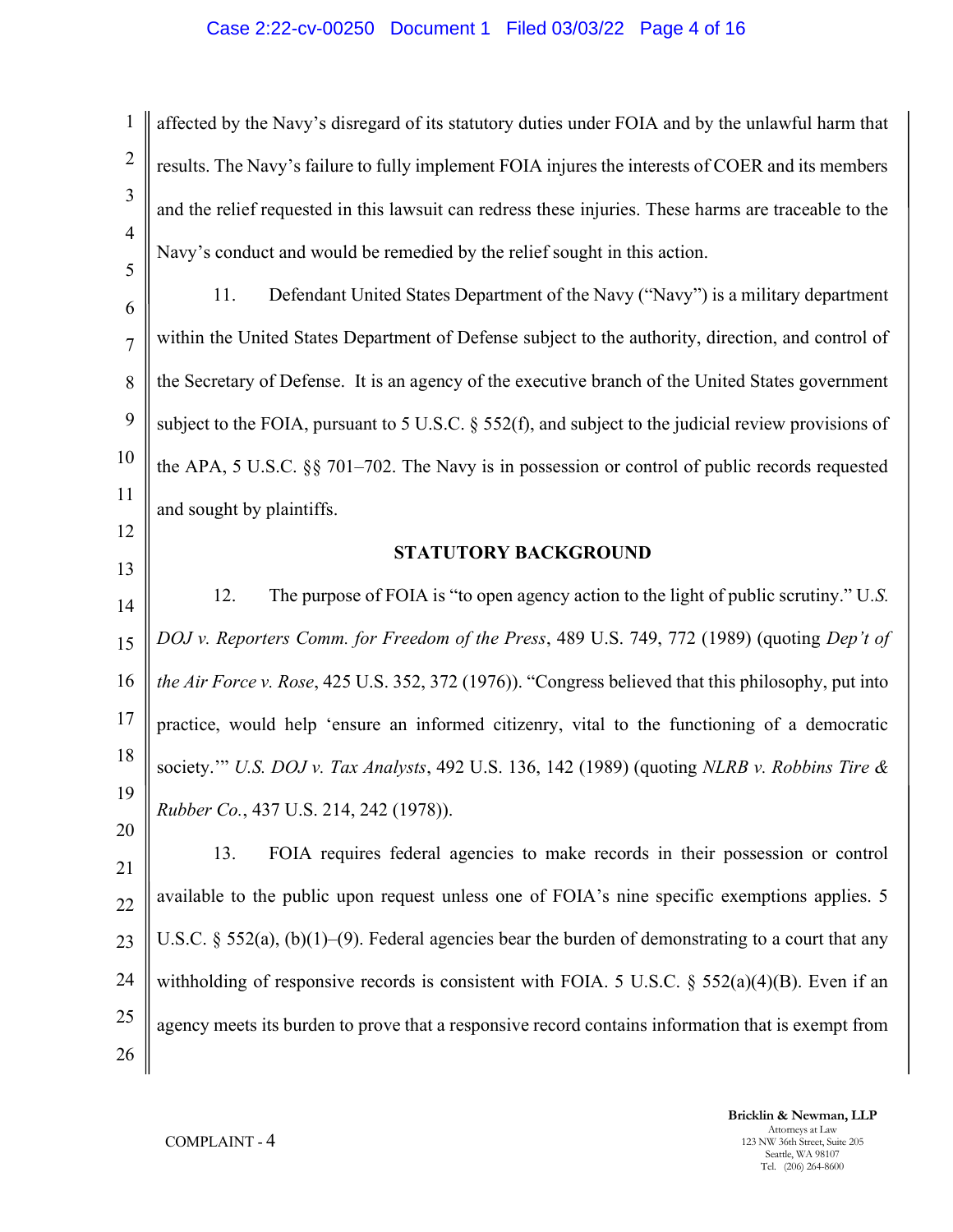## Case 2:22-cv-00250 Document 1 Filed 03/03/22 Page 4 of 16

1 2 3 4 5 affected by the Navy's disregard of its statutory duties under FOIA and by the unlawful harm that results. The Navy's failure to fully implement FOIA injures the interests of COER and its members and the relief requested in this lawsuit can redress these injuries. These harms are traceable to the Navy's conduct and would be remedied by the relief sought in this action.

6 7 8 9 10 11 11. Defendant United States Department of the Navy ("Navy") is a military department within the United States Department of Defense subject to the authority, direction, and control of the Secretary of Defense. It is an agency of the executive branch of the United States government subject to the FOIA, pursuant to 5 U.S.C. § 552(f), and subject to the judicial review provisions of the APA, 5 U.S.C. §§ 701–702. The Navy is in possession or control of public records requested and sought by plaintiffs.

12 13

20

## STATUTORY BACKGROUND

14 15 16 17 18 19 12. The purpose of FOIA is "to open agency action to the light of public scrutiny." U.S. DOJ v. Reporters Comm. for Freedom of the Press, 489 U.S. 749, 772 (1989) (quoting Dep't of the Air Force v. Rose, 425 U.S. 352, 372 (1976)). "Congress believed that this philosophy, put into practice, would help 'ensure an informed citizenry, vital to the functioning of a democratic society.'" U.S. DOJ v. Tax Analysts, 492 U.S. 136, 142 (1989) (quoting NLRB v. Robbins Tire & Rubber Co., 437 U.S. 214, 242 (1978)).

21 22 23 24 25 26 13. FOIA requires federal agencies to make records in their possession or control available to the public upon request unless one of FOIA's nine specific exemptions applies. 5 U.S.C. § 552(a), (b)(1)–(9). Federal agencies bear the burden of demonstrating to a court that any withholding of responsive records is consistent with FOIA. 5 U.S.C. § 552(a)(4)(B). Even if an agency meets its burden to prove that a responsive record contains information that is exempt from

> Bricklin & Newman, LLP Attorneys at Law 123 NW 36th Street, Suite 205 Seattle, WA 98107 Tel. (206) 264-8600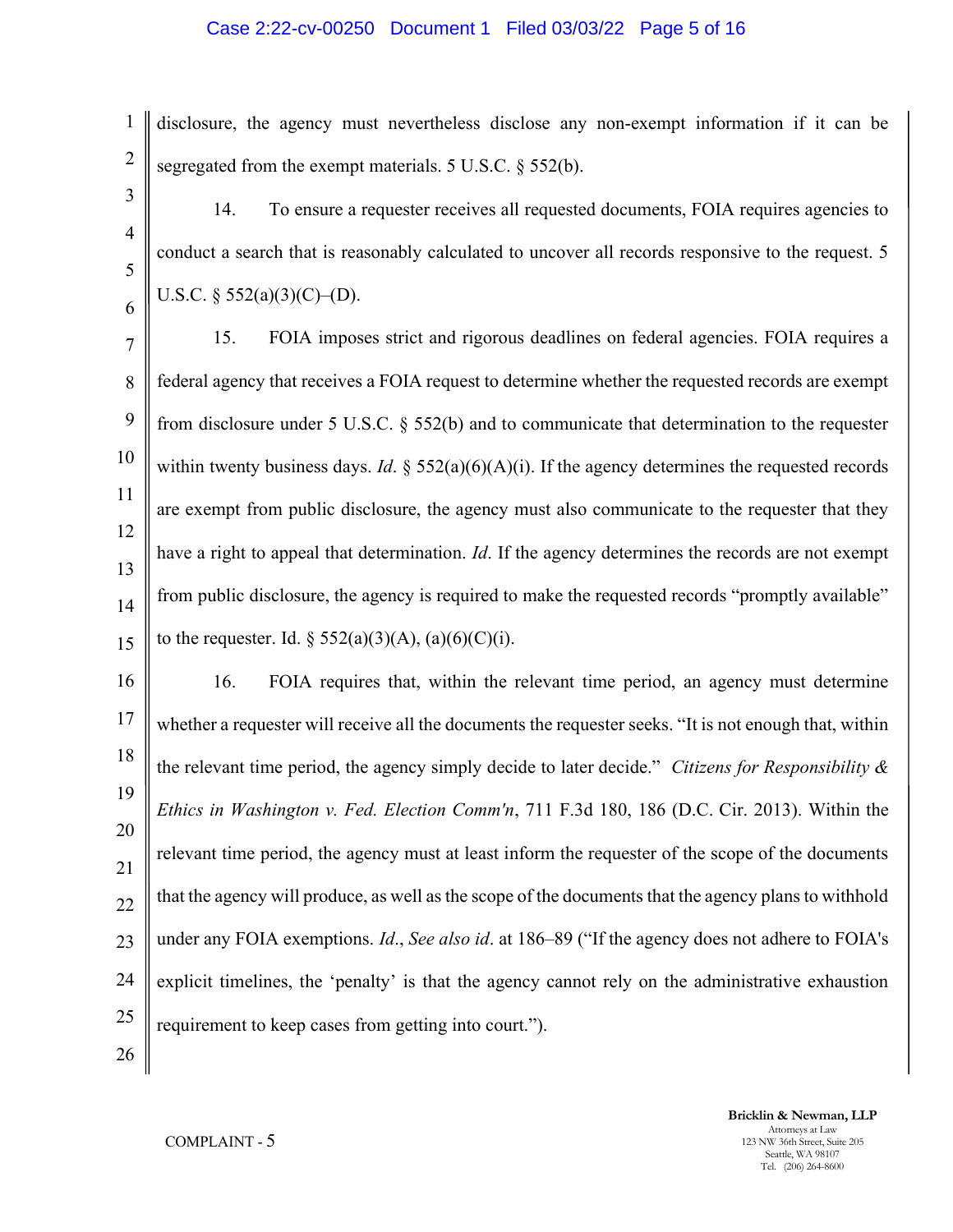## Case 2:22-cv-00250 Document 1 Filed 03/03/22 Page 5 of 16

1 2 disclosure, the agency must nevertheless disclose any non-exempt information if it can be segregated from the exempt materials. 5 U.S.C. § 552(b).

14. To ensure a requester receives all requested documents, FOIA requires agencies to conduct a search that is reasonably calculated to uncover all records responsive to the request. 5 U.S.C.  $\S$  552(a)(3)(C)–(D).

7 8 9 10 11 12 13 14 15 15. FOIA imposes strict and rigorous deadlines on federal agencies. FOIA requires a federal agency that receives a FOIA request to determine whether the requested records are exempt from disclosure under 5 U.S.C. § 552(b) and to communicate that determination to the requester within twenty business days. *Id.*  $\S$  552(a)(6)(A)(i). If the agency determines the requested records are exempt from public disclosure, the agency must also communicate to the requester that they have a right to appeal that determination. *Id*. If the agency determines the records are not exempt from public disclosure, the agency is required to make the requested records "promptly available" to the requester. Id.  $\S 552(a)(3)(A)$ ,  $(a)(6)(C)(i)$ .

16 17 18 19 20 21 22 23 24 25 16. FOIA requires that, within the relevant time period, an agency must determine whether a requester will receive all the documents the requester seeks. "It is not enough that, within the relevant time period, the agency simply decide to later decide." Citizens for Responsibility  $\&$ Ethics in Washington v. Fed. Election Comm'n, 711 F.3d 180, 186 (D.C. Cir. 2013). Within the relevant time period, the agency must at least inform the requester of the scope of the documents that the agency will produce, as well as the scope of the documents that the agency plans to withhold under any FOIA exemptions. Id., See also id. at 186–89 ("If the agency does not adhere to FOIA's explicit timelines, the 'penalty' is that the agency cannot rely on the administrative exhaustion requirement to keep cases from getting into court.").

26

3

4

5

6

Bricklin & Newman, LLP Attorneys at Law 123 NW 36th Street, Suite 205 Seattle, WA 98107 Tel. (206) 264-8600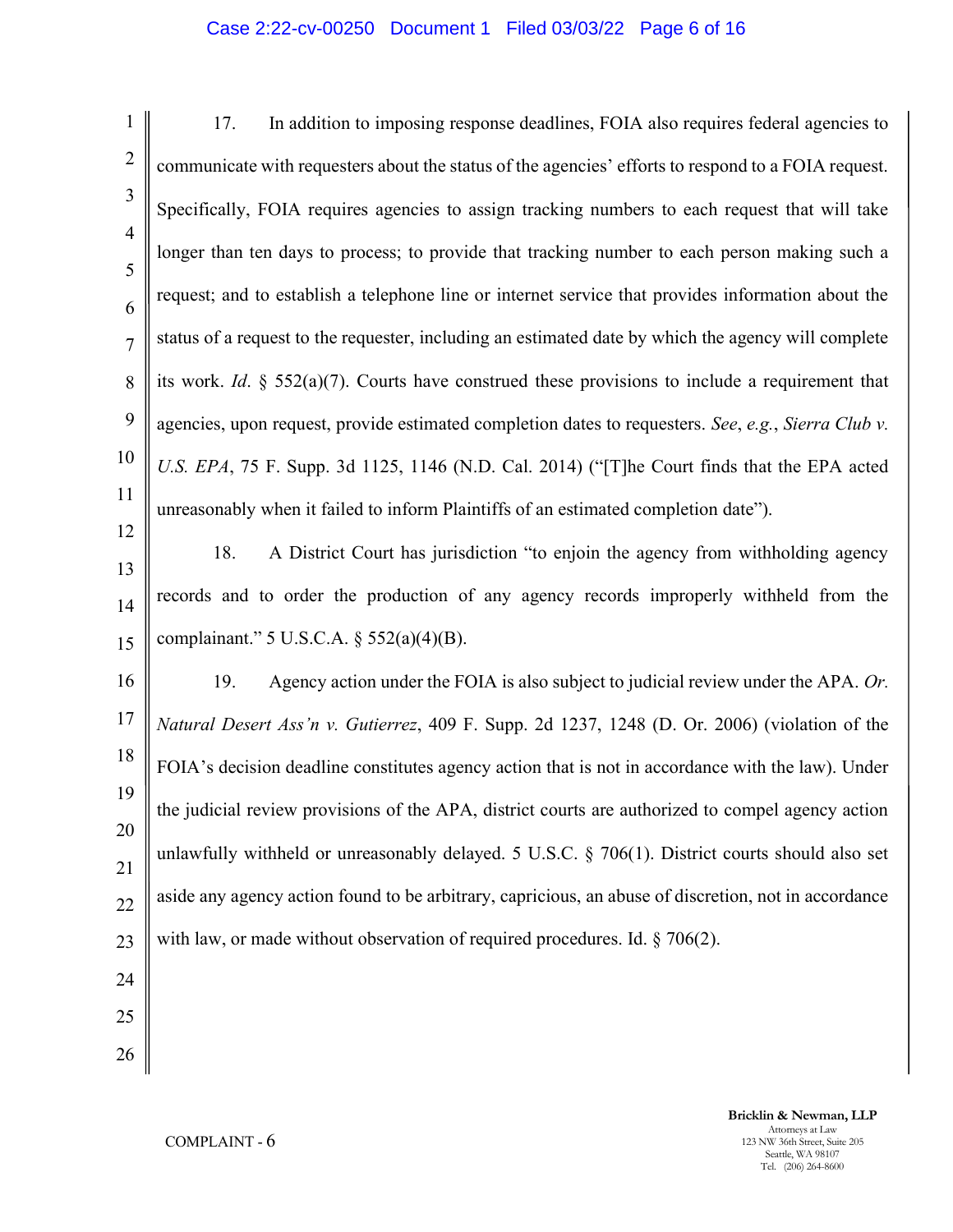### Case 2:22-cv-00250 Document 1 Filed 03/03/22 Page 6 of 16

1 2 3 4 5 6 7 8 9 10 11 12 13 14 15 16 17 18 19 20 21 22 23 24 17. In addition to imposing response deadlines, FOIA also requires federal agencies to communicate with requesters about the status of the agencies' efforts to respond to a FOIA request. Specifically, FOIA requires agencies to assign tracking numbers to each request that will take longer than ten days to process; to provide that tracking number to each person making such a request; and to establish a telephone line or internet service that provides information about the status of a request to the requester, including an estimated date by which the agency will complete its work. Id. § 552(a)(7). Courts have construed these provisions to include a requirement that agencies, upon request, provide estimated completion dates to requesters. See, e.g., Sierra Club v. U.S. EPA, 75 F. Supp. 3d 1125, 1146 (N.D. Cal. 2014) ("[T]he Court finds that the EPA acted unreasonably when it failed to inform Plaintiffs of an estimated completion date"). 18. A District Court has jurisdiction "to enjoin the agency from withholding agency records and to order the production of any agency records improperly withheld from the complainant." 5 U.S.C.A. § 552(a)(4)(B). 19. Agency action under the FOIA is also subject to judicial review under the APA. Or. Natural Desert Ass'n v. Gutierrez, 409 F. Supp. 2d 1237, 1248 (D. Or. 2006) (violation of the FOIA's decision deadline constitutes agency action that is not in accordance with the law). Under the judicial review provisions of the APA, district courts are authorized to compel agency action unlawfully withheld or unreasonably delayed. 5 U.S.C. § 706(1). District courts should also set aside any agency action found to be arbitrary, capricious, an abuse of discretion, not in accordance with law, or made without observation of required procedures. Id. § 706(2).

25 26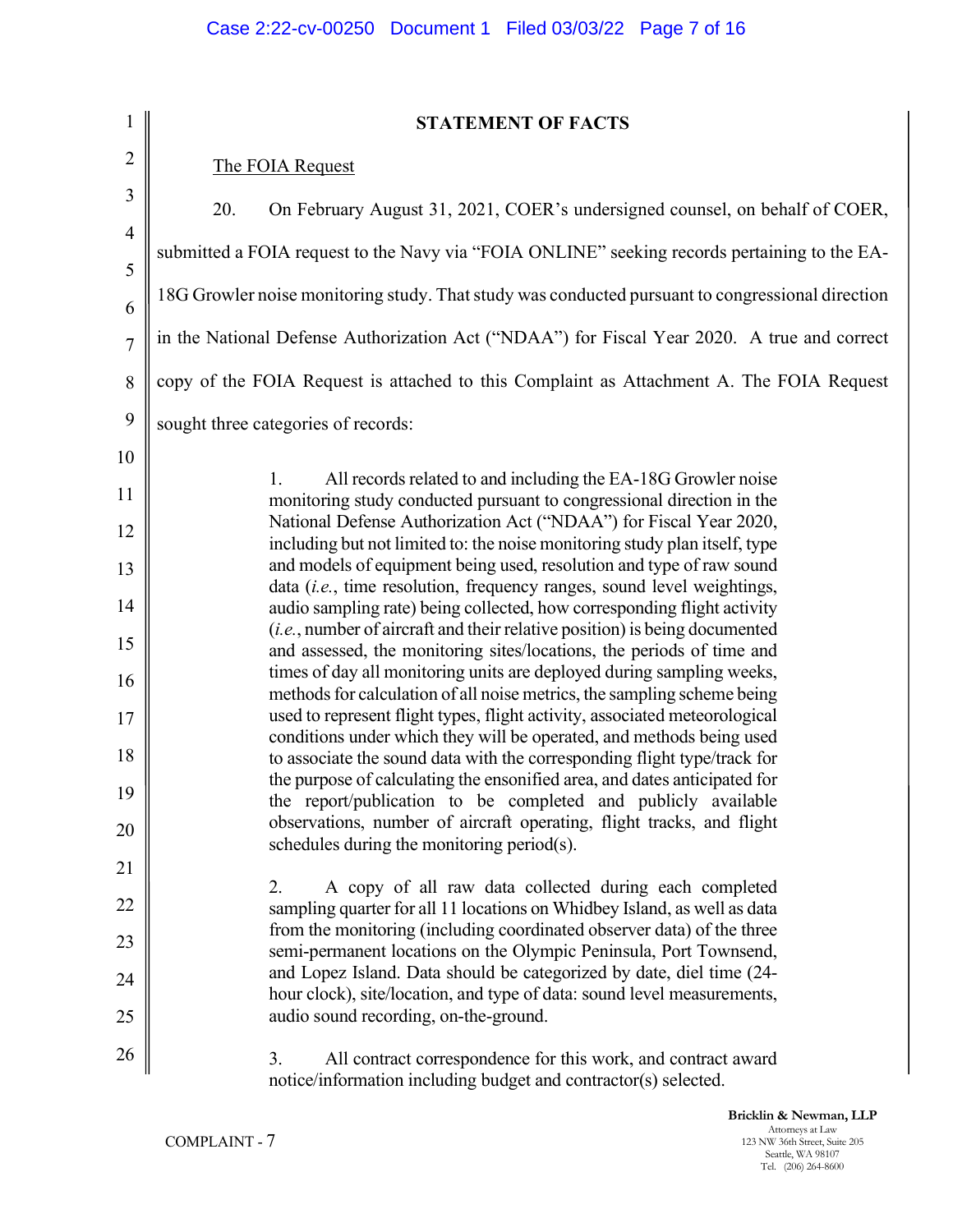| 1                   | <b>STATEMENT OF FACTS</b>                                                                                                                             |  |  |
|---------------------|-------------------------------------------------------------------------------------------------------------------------------------------------------|--|--|
| $\overline{2}$      | The FOIA Request                                                                                                                                      |  |  |
| 3                   | 20.<br>On February August 31, 2021, COER's undersigned counsel, on behalf of COER,                                                                    |  |  |
| $\overline{4}$<br>5 | submitted a FOIA request to the Navy via "FOIA ONLINE" seeking records pertaining to the EA-                                                          |  |  |
| 6                   | 18G Growler noise monitoring study. That study was conducted pursuant to congressional direction                                                      |  |  |
| $\overline{7}$      | in the National Defense Authorization Act ("NDAA") for Fiscal Year 2020. A true and correct                                                           |  |  |
| 8                   | copy of the FOIA Request is attached to this Complaint as Attachment A. The FOIA Request                                                              |  |  |
| 9                   | sought three categories of records:                                                                                                                   |  |  |
| 10                  |                                                                                                                                                       |  |  |
| 11                  | 1.<br>All records related to and including the EA-18G Growler noise<br>monitoring study conducted pursuant to congressional direction in the          |  |  |
| 12                  | National Defense Authorization Act ("NDAA") for Fiscal Year 2020,<br>including but not limited to: the noise monitoring study plan itself, type       |  |  |
| 13                  | and models of equipment being used, resolution and type of raw sound<br>data (i.e., time resolution, frequency ranges, sound level weightings,        |  |  |
| 14                  | audio sampling rate) being collected, how corresponding flight activity<br>(i.e., number of aircraft and their relative position) is being documented |  |  |
| 15                  | and assessed, the monitoring sites/locations, the periods of time and<br>times of day all monitoring units are deployed during sampling weeks,        |  |  |
| 16                  | methods for calculation of all noise metrics, the sampling scheme being                                                                               |  |  |
| 17                  | used to represent flight types, flight activity, associated meteorological<br>conditions under which they will be operated, and methods being used    |  |  |
| 18                  | to associate the sound data with the corresponding flight type/track for<br>the purpose of calculating the ensonified area, and dates anticipated for |  |  |
| 19<br>20            | the report/publication to be completed and publicly available<br>observations, number of aircraft operating, flight tracks, and flight                |  |  |
| 21                  | schedules during the monitoring period(s).                                                                                                            |  |  |
| 22                  | A copy of all raw data collected during each completed<br>2.                                                                                          |  |  |
| 23                  | sampling quarter for all 11 locations on Whidbey Island, as well as data<br>from the monitoring (including coordinated observer data) of the three    |  |  |
| 24                  | semi-permanent locations on the Olympic Peninsula, Port Townsend,<br>and Lopez Island. Data should be categorized by date, diel time (24-             |  |  |
| 25                  | hour clock), site/location, and type of data: sound level measurements,<br>audio sound recording, on-the-ground.                                      |  |  |
| 26                  | All contract correspondence for this work, and contract award<br>3.<br>notice/information including budget and contractor(s) selected.                |  |  |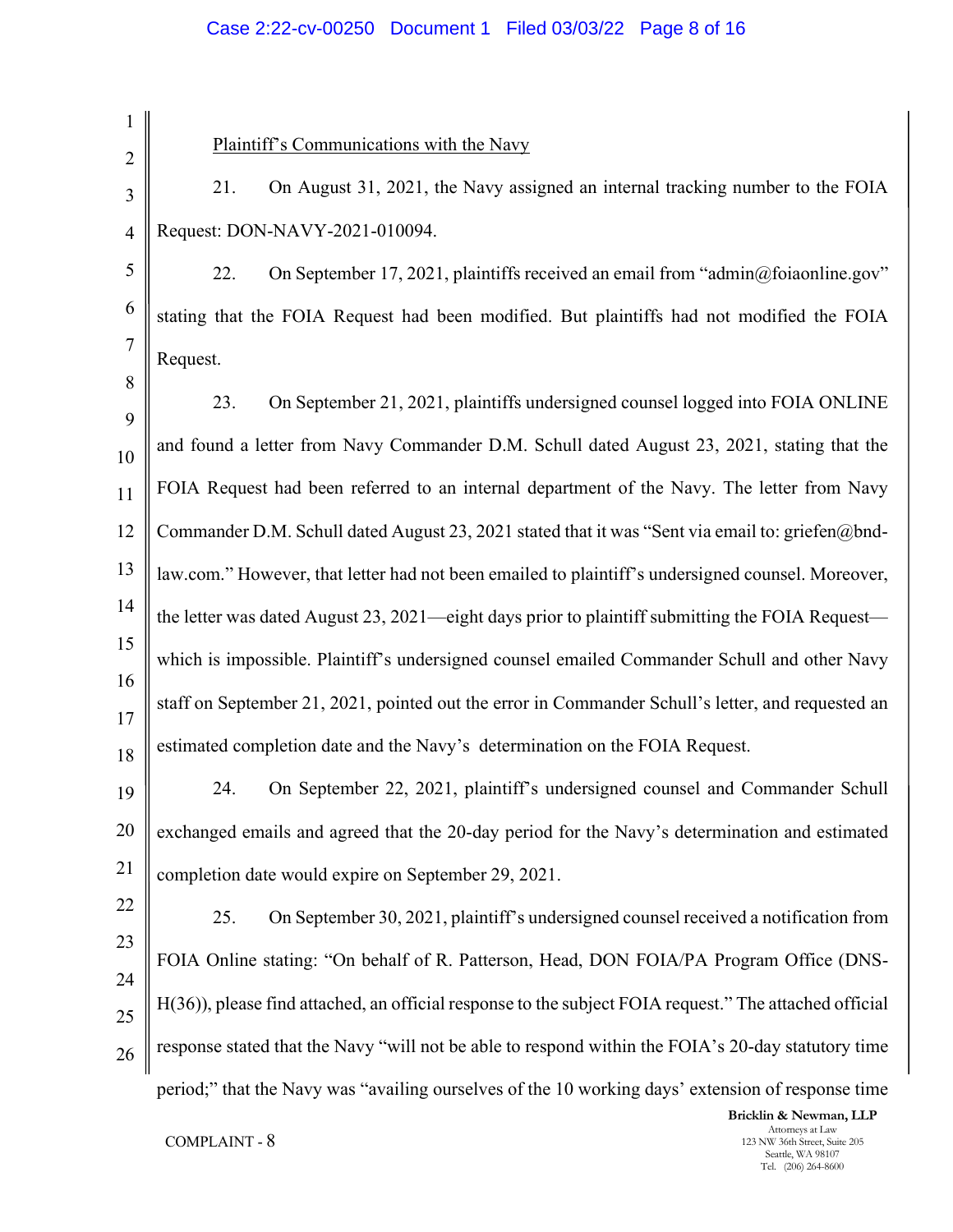# Case 2:22-cv-00250 Document 1 Filed 03/03/22 Page 8 of 16

| 1              |                                                                                                                             |  |  |
|----------------|-----------------------------------------------------------------------------------------------------------------------------|--|--|
| $\overline{2}$ | Plaintiff's Communications with the Navy                                                                                    |  |  |
| 3              | On August 31, 2021, the Navy assigned an internal tracking number to the FOIA<br>21.                                        |  |  |
| $\overline{4}$ | Request: DON-NAVY-2021-010094.                                                                                              |  |  |
| 5              | On September 17, 2021, plaintiffs received an email from "admin@foiaonline.gov"<br>22.                                      |  |  |
| 6              | stating that the FOIA Request had been modified. But plaintiffs had not modified the FOIA                                   |  |  |
| 7              | Request.                                                                                                                    |  |  |
| 8<br>9         | On September 21, 2021, plaintiffs undersigned counsel logged into FOIA ONLINE<br>23.                                        |  |  |
| 10             | and found a letter from Navy Commander D.M. Schull dated August 23, 2021, stating that the                                  |  |  |
| 11             | FOIA Request had been referred to an internal department of the Navy. The letter from Navy                                  |  |  |
| 12             | Commander D.M. Schull dated August 23, 2021 stated that it was "Sent via email to: griefen@bnd-                             |  |  |
| 13             | law.com." However, that letter had not been emailed to plaintiff's undersigned counsel. Moreover,                           |  |  |
| 14             | the letter was dated August 23, 2021—eight days prior to plaintiff submitting the FOIA Request—                             |  |  |
| 15             | which is impossible. Plaintiff's undersigned counsel emailed Commander Schull and other Navy                                |  |  |
| 16<br>17       | staff on September 21, 2021, pointed out the error in Commander Schull's letter, and requested an                           |  |  |
| 18             | estimated completion date and the Navy's determination on the FOIA Request.                                                 |  |  |
| 19             | 24. On September 22, 2021, plaintiff's undersigned counsel and Commander Schull                                             |  |  |
| 20             | exchanged emails and agreed that the 20-day period for the Navy's determination and estimated                               |  |  |
| 21             | completion date would expire on September 29, 2021.                                                                         |  |  |
| 22             | On September 30, 2021, plaintiff's undersigned counsel received a notification from<br>25.                                  |  |  |
| 23             | FOIA Online stating: "On behalf of R. Patterson, Head, DON FOIA/PA Program Office (DNS-                                     |  |  |
| 24<br>25       | H(36)), please find attached, an official response to the subject FOIA request." The attached official                      |  |  |
| 26             | response stated that the Navy "will not be able to respond within the FOIA's 20-day statutory time                          |  |  |
|                | period;" that the Navy was "availing ourselves of the 10 working days' extension of response time<br>Bricklin & Newman, LLP |  |  |

COMPLAINT - 8

Attorneys at Law 123 NW 36th Street, Suite 205 Seattle, WA 98107 Tel. (206) 264-8600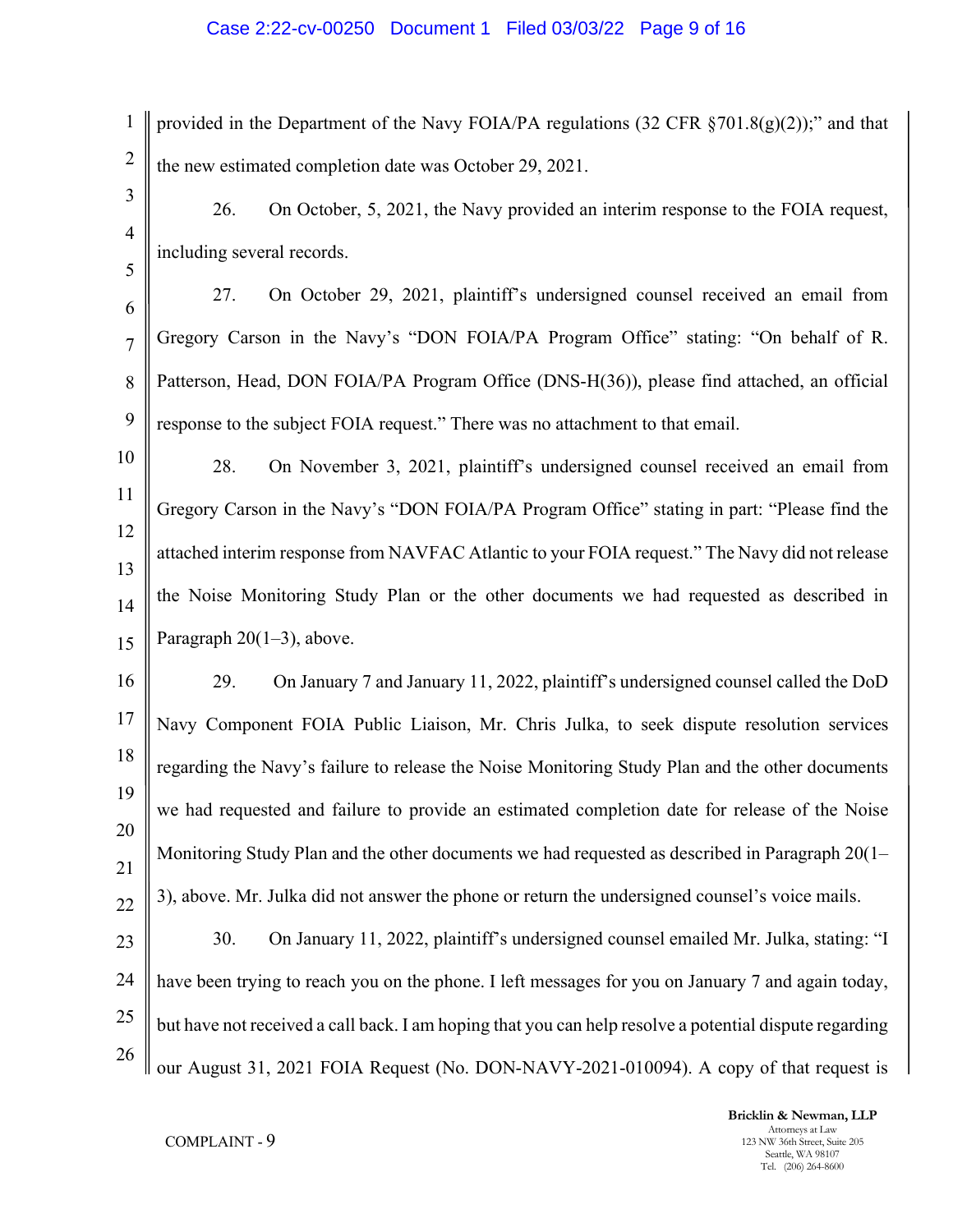#### Case 2:22-cv-00250 Document 1 Filed 03/03/22 Page 9 of 16

1 2 provided in the Department of the Navy FOIA/PA regulations (32 CFR  $\S 701.8(g)(2)$ );" and that the new estimated completion date was October 29, 2021.

26. On October, 5, 2021, the Navy provided an interim response to the FOIA request, including several records.

6 7 8 9 27. On October 29, 2021, plaintiff's undersigned counsel received an email from Gregory Carson in the Navy's "DON FOIA/PA Program Office" stating: "On behalf of R. Patterson, Head, DON FOIA/PA Program Office (DNS-H(36)), please find attached, an official response to the subject FOIA request." There was no attachment to that email.

10 11 12 13 14 15 28. On November 3, 2021, plaintiff's undersigned counsel received an email from Gregory Carson in the Navy's "DON FOIA/PA Program Office" stating in part: "Please find the attached interim response from NAVFAC Atlantic to your FOIA request." The Navy did not release the Noise Monitoring Study Plan or the other documents we had requested as described in Paragraph  $20(1-3)$ , above.

16 17 18 19 20 21 22 29. On January 7 and January 11, 2022, plaintiff's undersigned counsel called the DoD Navy Component FOIA Public Liaison, Mr. Chris Julka, to seek dispute resolution services regarding the Navy's failure to release the Noise Monitoring Study Plan and the other documents we had requested and failure to provide an estimated completion date for release of the Noise Monitoring Study Plan and the other documents we had requested as described in Paragraph 20(1– 3), above. Mr. Julka did not answer the phone or return the undersigned counsel's voice mails.

23 24 25 26 30. On January 11, 2022, plaintiff's undersigned counsel emailed Mr. Julka, stating: "I have been trying to reach you on the phone. I left messages for you on January 7 and again today, but have not received a call back. I am hoping that you can help resolve a potential dispute regarding our August 31, 2021 FOIA Request (No. DON-NAVY-2021-010094). A copy of that request is

3

4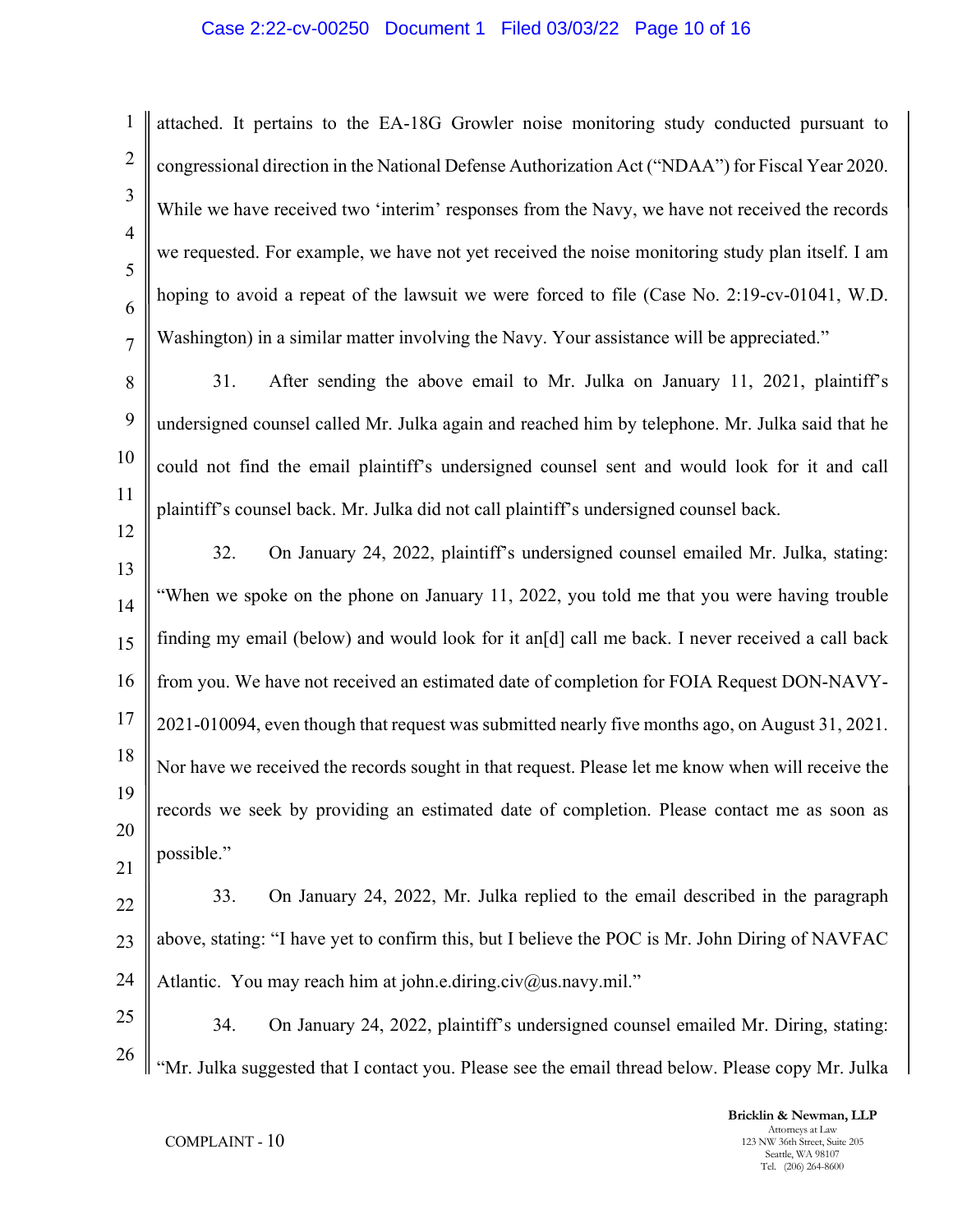### Case 2:22-cv-00250 Document 1 Filed 03/03/22 Page 10 of 16

1 2 3 4 5 6 7 attached. It pertains to the EA-18G Growler noise monitoring study conducted pursuant to congressional direction in the National Defense Authorization Act ("NDAA") for Fiscal Year 2020. While we have received two 'interim' responses from the Navy, we have not received the records we requested. For example, we have not yet received the noise monitoring study plan itself. I am hoping to avoid a repeat of the lawsuit we were forced to file (Case No. 2:19-cv-01041, W.D. Washington) in a similar matter involving the Navy. Your assistance will be appreciated."

8 9 10 11 31. After sending the above email to Mr. Julka on January 11, 2021, plaintiff's undersigned counsel called Mr. Julka again and reached him by telephone. Mr. Julka said that he could not find the email plaintiff's undersigned counsel sent and would look for it and call plaintiff's counsel back. Mr. Julka did not call plaintiff's undersigned counsel back.

13 14 15 16 17 18 19 20 21 32. On January 24, 2022, plaintiff's undersigned counsel emailed Mr. Julka, stating: "When we spoke on the phone on January 11, 2022, you told me that you were having trouble finding my email (below) and would look for it an[d] call me back. I never received a call back from you. We have not received an estimated date of completion for FOIA Request DON-NAVY-2021-010094, even though that request was submitted nearly five months ago, on August 31, 2021. Nor have we received the records sought in that request. Please let me know when will receive the records we seek by providing an estimated date of completion. Please contact me as soon as possible."

- 22 23 24 33. On January 24, 2022, Mr. Julka replied to the email described in the paragraph above, stating: "I have yet to confirm this, but I believe the POC is Mr. John Diring of NAVFAC Atlantic. You may reach him at john.e.diring.civ@us.navy.mil."
- 25 26 34. On January 24, 2022, plaintiff's undersigned counsel emailed Mr. Diring, stating: "Mr. Julka suggested that I contact you. Please see the email thread below. Please copy Mr. Julka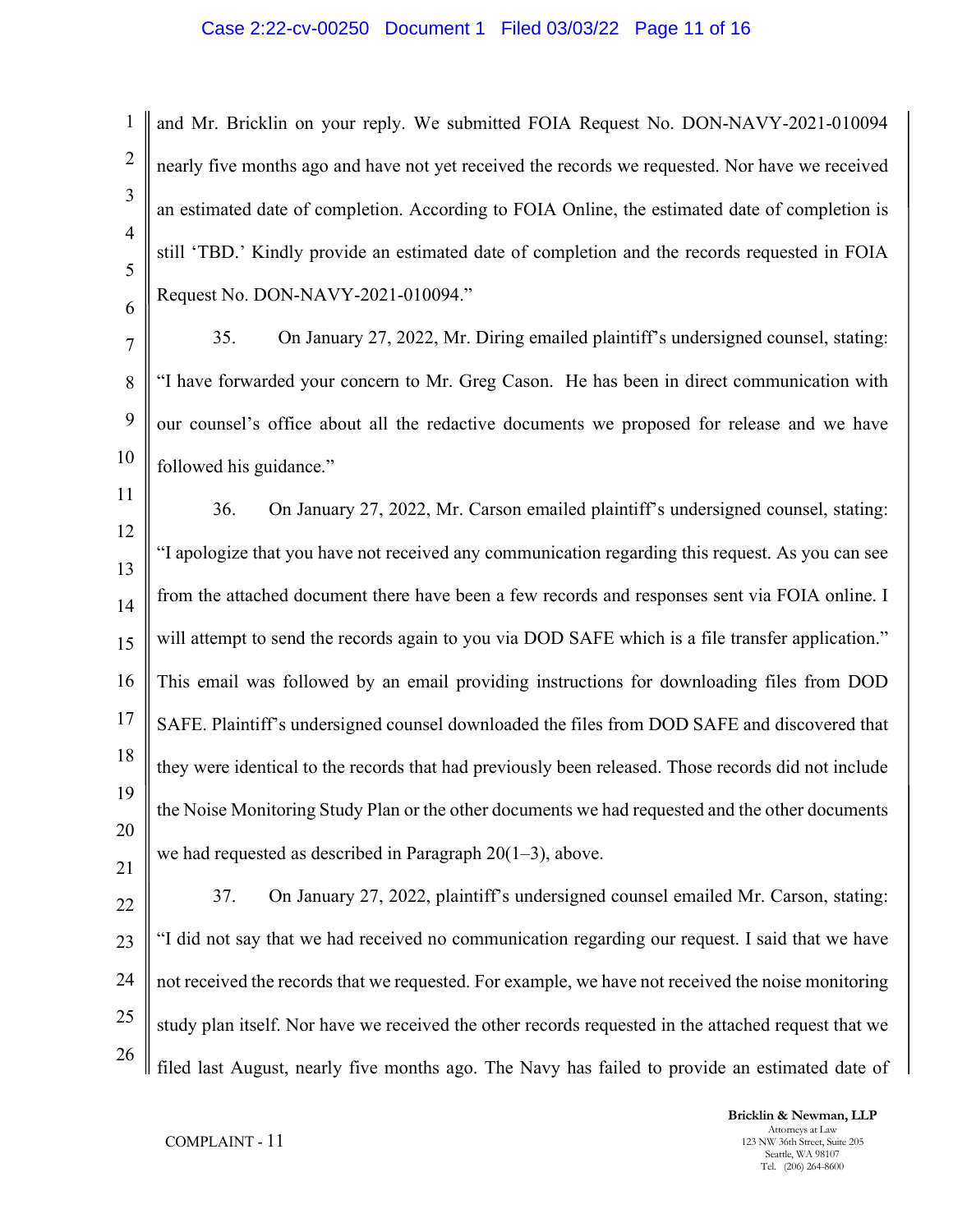#### Case 2:22-cv-00250 Document 1 Filed 03/03/22 Page 11 of 16

and Mr. Bricklin on your reply. We submitted FOIA Request No. DON-NAVY-2021-010094 nearly five months ago and have not yet received the records we requested. Nor have we received an estimated date of completion. According to FOIA Online, the estimated date of completion is still 'TBD.' Kindly provide an estimated date of completion and the records requested in FOIA Request No. DON-NAVY-2021-010094."

7 8 9 10 35. On January 27, 2022, Mr. Diring emailed plaintiff's undersigned counsel, stating: "I have forwarded your concern to Mr. Greg Cason. He has been in direct communication with our counsel's office about all the redactive documents we proposed for release and we have followed his guidance."

11 12 13 14 15 16 17 18 19 20 21 36. On January 27, 2022, Mr. Carson emailed plaintiff's undersigned counsel, stating: "I apologize that you have not received any communication regarding this request. As you can see from the attached document there have been a few records and responses sent via FOIA online. I will attempt to send the records again to you via DOD SAFE which is a file transfer application." This email was followed by an email providing instructions for downloading files from DOD SAFE. Plaintiff's undersigned counsel downloaded the files from DOD SAFE and discovered that they were identical to the records that had previously been released. Those records did not include the Noise Monitoring Study Plan or the other documents we had requested and the other documents we had requested as described in Paragraph  $20(1-3)$ , above.

22 23 24 25 26 37. On January 27, 2022, plaintiff's undersigned counsel emailed Mr. Carson, stating: "I did not say that we had received no communication regarding our request. I said that we have not received the records that we requested. For example, we have not received the noise monitoring study plan itself. Nor have we received the other records requested in the attached request that we filed last August, nearly five months ago. The Navy has failed to provide an estimated date of

1

2

3

4

5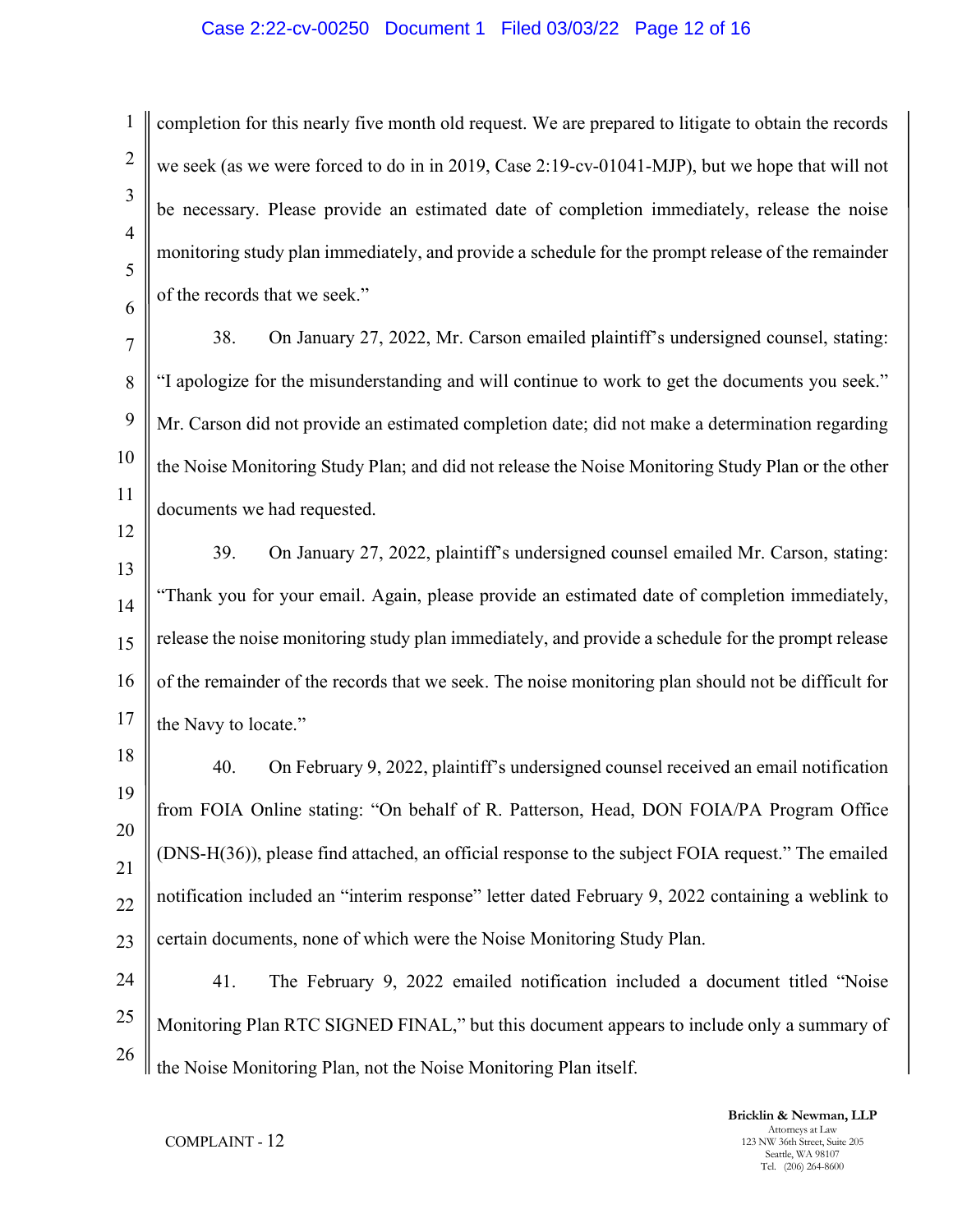#### Case 2:22-cv-00250 Document 1 Filed 03/03/22 Page 12 of 16

1 4 completion for this nearly five month old request. We are prepared to litigate to obtain the records we seek (as we were forced to do in in 2019, Case 2:19-cv-01041-MJP), but we hope that will not be necessary. Please provide an estimated date of completion immediately, release the noise monitoring study plan immediately, and provide a schedule for the prompt release of the remainder of the records that we seek."

7 8 9 10 11 38. On January 27, 2022, Mr. Carson emailed plaintiff's undersigned counsel, stating: "I apologize for the misunderstanding and will continue to work to get the documents you seek." Mr. Carson did not provide an estimated completion date; did not make a determination regarding the Noise Monitoring Study Plan; and did not release the Noise Monitoring Study Plan or the other documents we had requested.

13 14 15 16 17 39. On January 27, 2022, plaintiff's undersigned counsel emailed Mr. Carson, stating: "Thank you for your email. Again, please provide an estimated date of completion immediately, release the noise monitoring study plan immediately, and provide a schedule for the prompt release of the remainder of the records that we seek. The noise monitoring plan should not be difficult for the Navy to locate."

18 19 20 21 22 23 40. On February 9, 2022, plaintiff's undersigned counsel received an email notification from FOIA Online stating: "On behalf of R. Patterson, Head, DON FOIA/PA Program Office (DNS-H(36)), please find attached, an official response to the subject FOIA request." The emailed notification included an "interim response" letter dated February 9, 2022 containing a weblink to certain documents, none of which were the Noise Monitoring Study Plan.

24 25 26 41. The February 9, 2022 emailed notification included a document titled "Noise Monitoring Plan RTC SIGNED FINAL," but this document appears to include only a summary of the Noise Monitoring Plan, not the Noise Monitoring Plan itself.

COMPLAINT - 12

2

3

5

6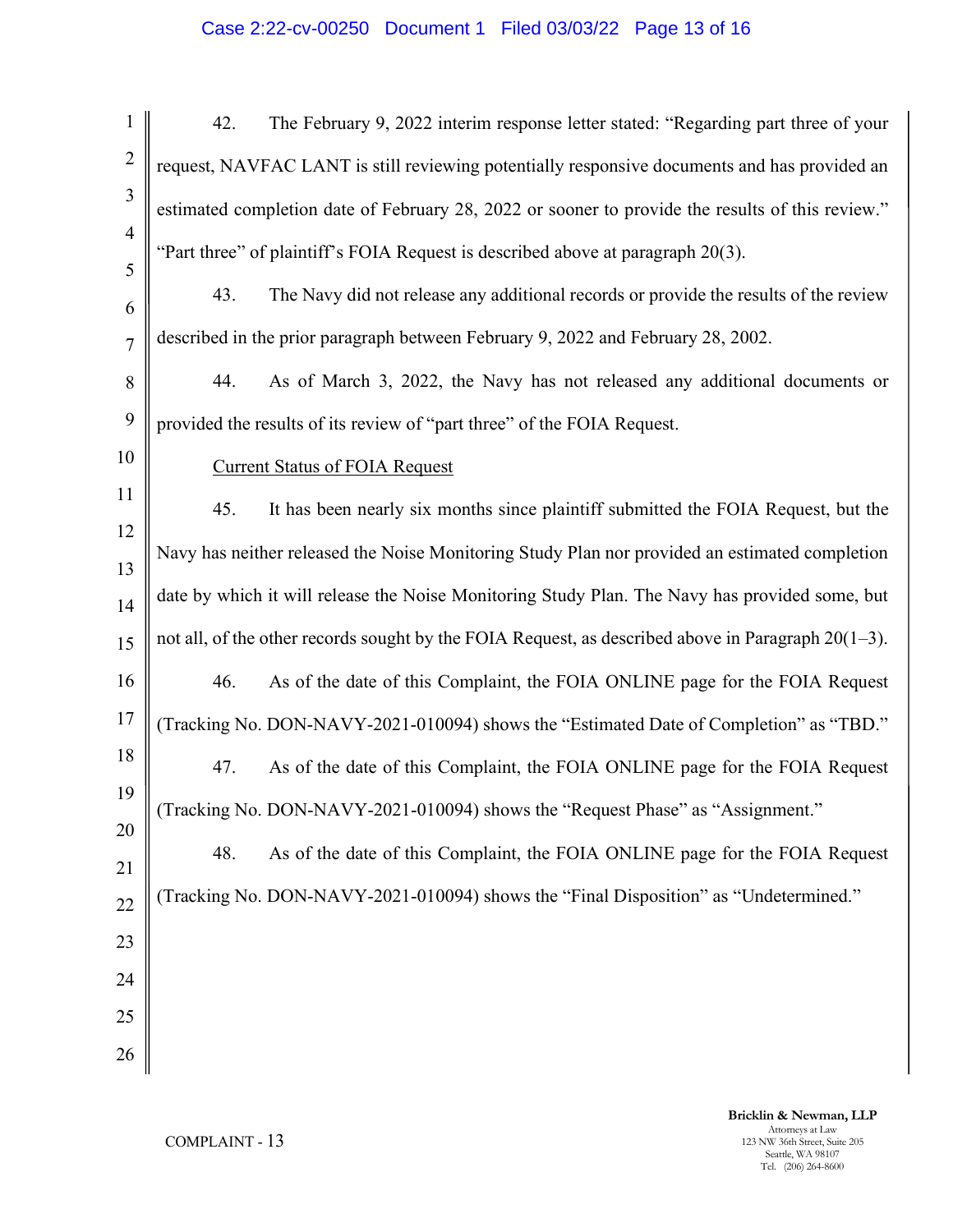# Case 2:22-cv-00250 Document 1 Filed 03/03/22 Page 13 of 16

| $\mathbf{1}$        | 42.<br>The February 9, 2022 interim response letter stated: "Regarding part three of your             |  |
|---------------------|-------------------------------------------------------------------------------------------------------|--|
| $\overline{2}$      | request, NAVFAC LANT is still reviewing potentially responsive documents and has provided an          |  |
| $\overline{3}$      | estimated completion date of February 28, 2022 or sooner to provide the results of this review."      |  |
| $\overline{4}$<br>5 | "Part three" of plaintiff's FOIA Request is described above at paragraph 20(3).                       |  |
| 6                   | The Navy did not release any additional records or provide the results of the review<br>43.           |  |
| $\overline{7}$      | described in the prior paragraph between February 9, 2022 and February 28, 2002.                      |  |
| 8                   | As of March 3, 2022, the Navy has not released any additional documents or<br>44.                     |  |
| 9                   | provided the results of its review of "part three" of the FOIA Request.                               |  |
| 10                  | <b>Current Status of FOIA Request</b>                                                                 |  |
| 11                  | It has been nearly six months since plaintiff submitted the FOIA Request, but the<br>45.              |  |
| 12                  | Navy has neither released the Noise Monitoring Study Plan nor provided an estimated completion        |  |
| 13<br>14            | date by which it will release the Noise Monitoring Study Plan. The Navy has provided some, but        |  |
| 15                  | not all, of the other records sought by the FOIA Request, as described above in Paragraph $20(1-3)$ . |  |
| 16                  | As of the date of this Complaint, the FOIA ONLINE page for the FOIA Request<br>46.                    |  |
| 17                  | (Tracking No. DON-NAVY-2021-010094) shows the "Estimated Date of Completion" as "TBD."                |  |
| 18                  | As of the date of this Complaint, the FOIA ONLINE page for the FOIA Request<br>47.                    |  |
| 19                  | (Tracking No. DON-NAVY-2021-010094) shows the "Request Phase" as "Assignment."                        |  |
| 20<br>21            | As of the date of this Complaint, the FOIA ONLINE page for the FOIA Request<br>48.                    |  |
| 22                  | (Tracking No. DON-NAVY-2021-010094) shows the "Final Disposition" as "Undetermined."                  |  |
| 23                  |                                                                                                       |  |
| 24                  |                                                                                                       |  |
| 25                  |                                                                                                       |  |
| 26                  |                                                                                                       |  |
|                     |                                                                                                       |  |

Bricklin & Newman, LLP Attorneys at Law 123 NW 36th Street, Suite 205 Seattle, WA 98107 Tel. (206) 264-8600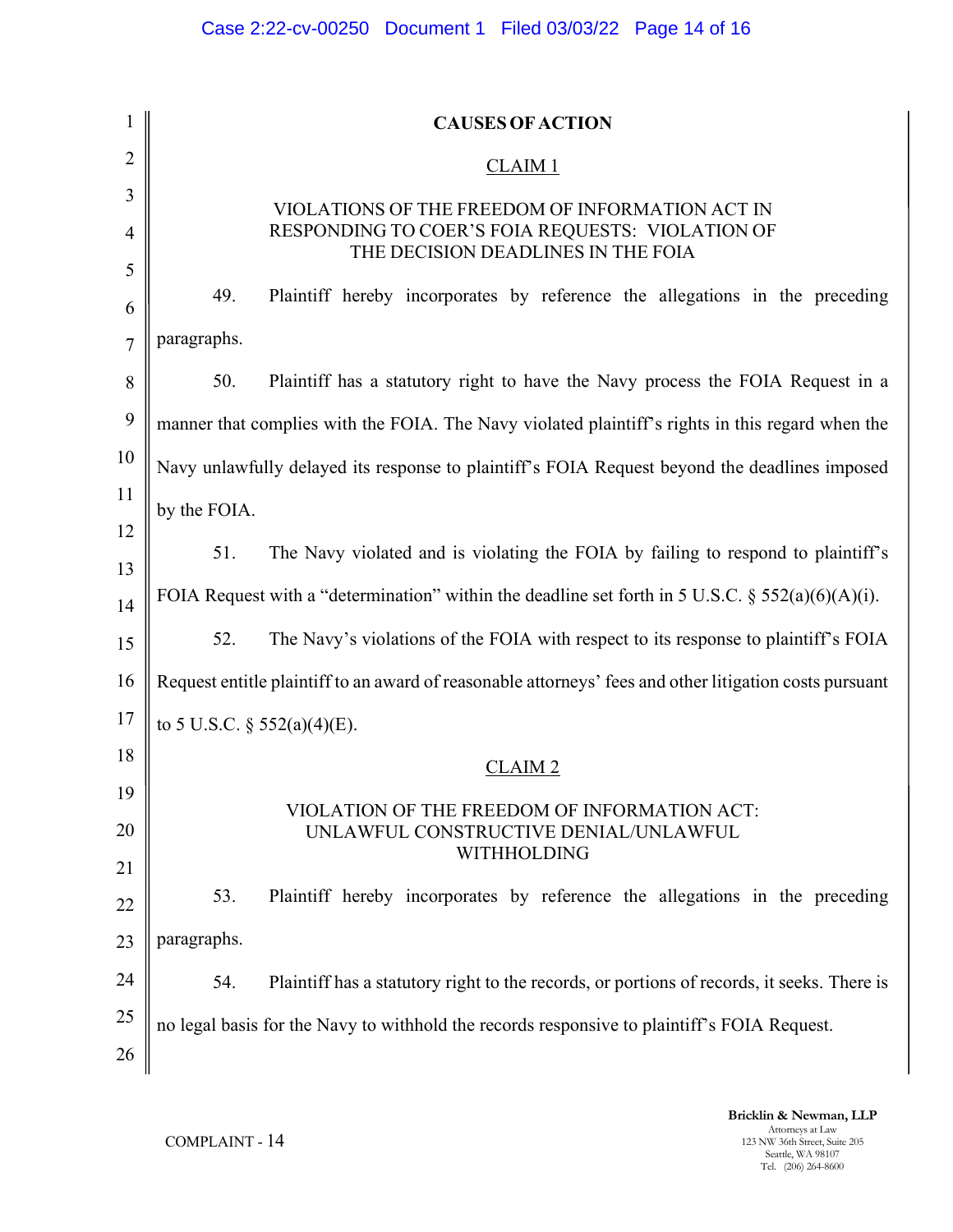| 1                   |                                                                                                         | <b>CAUSES OF ACTION</b>                                                                     |  |
|---------------------|---------------------------------------------------------------------------------------------------------|---------------------------------------------------------------------------------------------|--|
| $\overline{2}$      | <b>CLAIM1</b>                                                                                           |                                                                                             |  |
| 3<br>$\overline{4}$ | VIOLATIONS OF THE FREEDOM OF INFORMATION ACT IN<br>RESPONDING TO COER'S FOIA REQUESTS: VIOLATION OF     |                                                                                             |  |
| 5                   |                                                                                                         | THE DECISION DEADLINES IN THE FOIA                                                          |  |
| 6                   | 49.                                                                                                     | Plaintiff hereby incorporates by reference the allegations in the preceding                 |  |
| $\overline{7}$      | paragraphs.                                                                                             |                                                                                             |  |
| 8                   | 50.                                                                                                     | Plaintiff has a statutory right to have the Navy process the FOIA Request in a              |  |
| 9                   | manner that complies with the FOIA. The Navy violated plaintiff's rights in this regard when the        |                                                                                             |  |
| 10                  | Navy unlawfully delayed its response to plaintiff's FOIA Request beyond the deadlines imposed           |                                                                                             |  |
| 11                  | by the FOIA.                                                                                            |                                                                                             |  |
| 12<br>13            | 51.                                                                                                     | The Navy violated and is violating the FOIA by failing to respond to plaintiff's            |  |
| 14                  | FOIA Request with a "determination" within the deadline set forth in 5 U.S.C. $\S$ 552(a)(6)(A)(i).     |                                                                                             |  |
| 15                  | 52.                                                                                                     | The Navy's violations of the FOIA with respect to its response to plaintiff's FOIA          |  |
| 16                  | Request entitle plaintiff to an award of reasonable attorneys' fees and other litigation costs pursuant |                                                                                             |  |
| 17                  | to 5 U.S.C. $\S$ 552(a)(4)(E).                                                                          |                                                                                             |  |
| 18                  |                                                                                                         | $CLAIM$ <sub>2</sub>                                                                        |  |
| 19                  |                                                                                                         | VIOLATION OF THE FREEDOM OF INFORMATION ACT:                                                |  |
| 20                  |                                                                                                         | UNLAWFUL CONSTRUCTIVE DENIAL/UNLAWFUL<br>WITHHOLDING                                        |  |
| 21                  |                                                                                                         |                                                                                             |  |
| 22                  | 53.                                                                                                     | Plaintiff hereby incorporates by reference the allegations in the preceding                 |  |
| 23                  | paragraphs.                                                                                             |                                                                                             |  |
| 24                  | 54.                                                                                                     | Plaintiff has a statutory right to the records, or portions of records, it seeks. There is  |  |
| 25                  |                                                                                                         | no legal basis for the Navy to withhold the records responsive to plaintiff's FOIA Request. |  |
| 26                  |                                                                                                         |                                                                                             |  |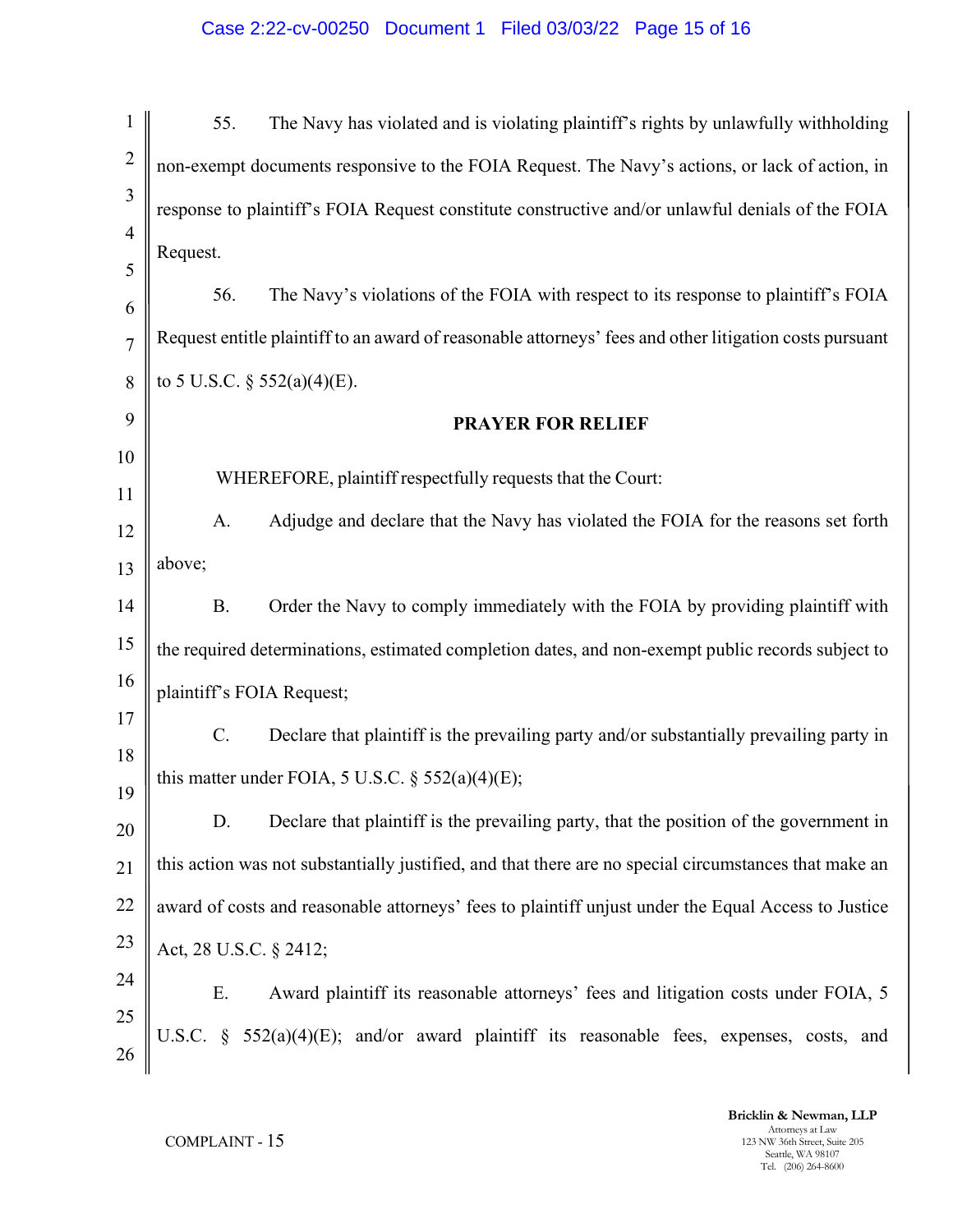| $\mathbf 1$    | 55.<br>The Navy has violated and is violating plaintiff's rights by unlawfully withholding              |  |
|----------------|---------------------------------------------------------------------------------------------------------|--|
| $\overline{2}$ | non-exempt documents responsive to the FOIA Request. The Navy's actions, or lack of action, in          |  |
| $\mathfrak{Z}$ | response to plaintiff's FOIA Request constitute constructive and/or unlawful denials of the FOIA        |  |
| $\overline{4}$ | Request.                                                                                                |  |
| 5<br>6         | The Navy's violations of the FOIA with respect to its response to plaintiff's FOIA<br>56.               |  |
| $\overline{7}$ | Request entitle plaintiff to an award of reasonable attorneys' fees and other litigation costs pursuant |  |
| 8              | to 5 U.S.C. $\S$ 552(a)(4)(E).                                                                          |  |
| 9              | <b>PRAYER FOR RELIEF</b>                                                                                |  |
| 10             |                                                                                                         |  |
| 11             | WHEREFORE, plaintiff respectfully requests that the Court:                                              |  |
| 12             | Adjudge and declare that the Navy has violated the FOIA for the reasons set forth<br>A.                 |  |
| 13             | above;                                                                                                  |  |
| 14             | Order the Navy to comply immediately with the FOIA by providing plaintiff with<br><b>B.</b>             |  |
| 15             | the required determinations, estimated completion dates, and non-exempt public records subject to       |  |
| 16             | plaintiff's FOIA Request;                                                                               |  |
| 17             | C.<br>Declare that plaintiff is the prevailing party and/or substantially prevailing party in           |  |
| 18<br>19       | this matter under FOIA, 5 U.S.C. $\S$ 552(a)(4)(E);                                                     |  |
| 20             | D.<br>Declare that plaintiff is the prevailing party, that the position of the government in            |  |
| 21             | this action was not substantially justified, and that there are no special circumstances that make an   |  |
| 22             | award of costs and reasonable attorneys' fees to plaintiff unjust under the Equal Access to Justice     |  |
| 23             | Act, 28 U.S.C. § 2412;                                                                                  |  |
| 24             | Ε.                                                                                                      |  |
| 25             | Award plaintiff its reasonable attorneys' fees and litigation costs under FOIA, 5                       |  |
| 26             | 552(a)(4)(E); and/or award plaintiff its reasonable fees, expenses, costs, and<br>U.S.C. $\S$           |  |
|                |                                                                                                         |  |